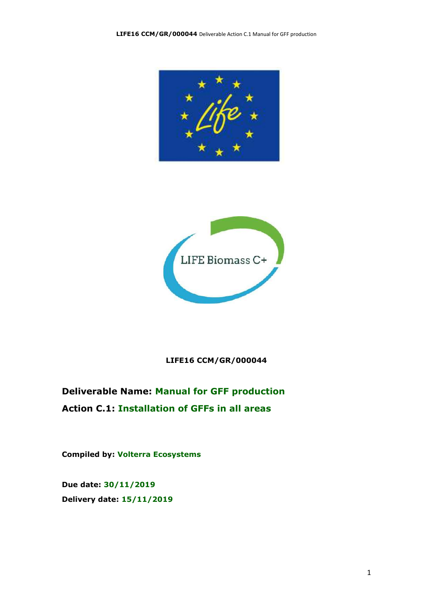



#### **LIFE16 CCM/GR/000044**

### **Deliverable Name: Manual for GFF production Action C.1: Installation of GFFs in all areas**

**Compiled by: Volterra Ecosystems**

**Due date: 30/11/2019 Delivery date: 15/11/2019**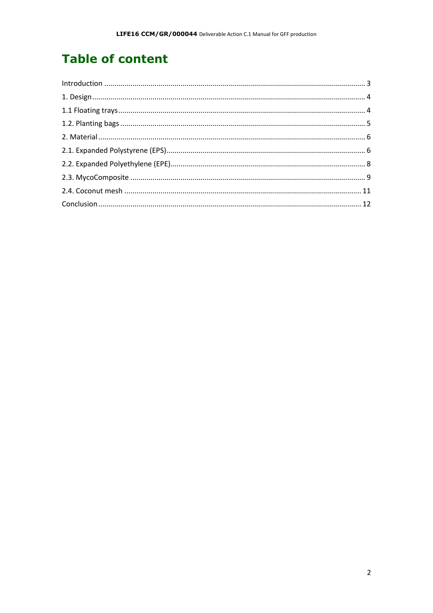# **Table of content**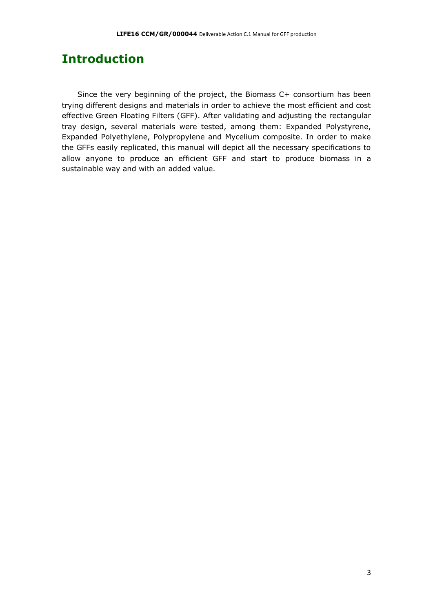### <span id="page-2-0"></span>**Introduction**

Since the very beginning of the project, the Biomass C+ consortium has been trying different designs and materials in order to achieve the most efficient and cost effective Green Floating Filters (GFF). After validating and adjusting the rectangular tray design, several materials were tested, among them: Expanded Polystyrene, Expanded Polyethylene, Polypropylene and Mycelium composite. In order to make the GFFs easily replicated, this manual will depict all the necessary specifications to allow anyone to produce an efficient GFF and start to produce biomass in a sustainable way and with an added value.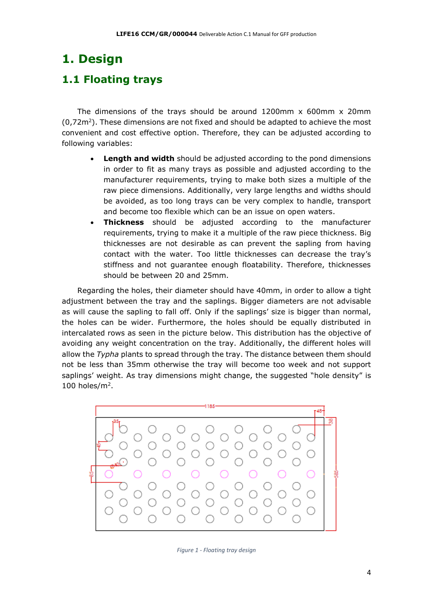## <span id="page-3-0"></span>**1. Design**

#### <span id="page-3-1"></span>**1.1 Floating trays**

The dimensions of the trays should be around  $1200$ mm x 600mm x 20mm  $(0.72 \text{m}^2)$ . These dimensions are not fixed and should be adapted to achieve the most convenient and cost effective option. Therefore, they can be adjusted according to following variables:

- **Length and width** should be adjusted according to the pond dimensions in order to fit as many trays as possible and adjusted according to the manufacturer requirements, trying to make both sizes a multiple of the raw piece dimensions. Additionally, very large lengths and widths should be avoided, as too long trays can be very complex to handle, transport and become too flexible which can be an issue on open waters.
- **Thickness** should be adjusted according to the manufacturer requirements, trying to make it a multiple of the raw piece thickness. Big thicknesses are not desirable as can prevent the sapling from having contact with the water. Too little thicknesses can decrease the tray's stiffness and not guarantee enough floatability. Therefore, thicknesses should be between 20 and 25mm.

Regarding the holes, their diameter should have 40mm, in order to allow a tight adjustment between the tray and the saplings. Bigger diameters are not advisable as will cause the sapling to fall off. Only if the saplings' size is bigger than normal, the holes can be wider. Furthermore, the holes should be equally distributed in intercalated rows as seen in the picture below. This distribution has the objective of avoiding any weight concentration on the tray. Additionally, the different holes will allow the *Typha* plants to spread through the tray. The distance between them should not be less than 35mm otherwise the tray will become too week and not support saplings' weight. As tray dimensions might change, the suggested "hole density" is 100 holes/ $m^2$ .



*Figure 1 - Floating tray design*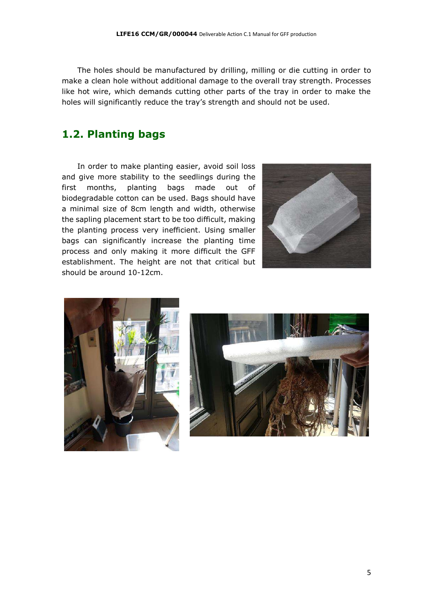The holes should be manufactured by drilling, milling or die cutting in order to make a clean hole without additional damage to the overall tray strength. Processes like hot wire, which demands cutting other parts of the tray in order to make the holes will significantly reduce the tray's strength and should not be used.

#### <span id="page-4-0"></span>**1.2. Planting bags**

In order to make planting easier, avoid soil loss and give more stability to the seedlings during the first months, planting bags made out of biodegradable cotton can be used. Bags should have a minimal size of 8cm length and width, otherwise the sapling placement start to be too difficult, making the planting process very inefficient. Using smaller bags can significantly increase the planting time process and only making it more difficult the GFF establishment. The height are not that critical but should be around 10-12cm.





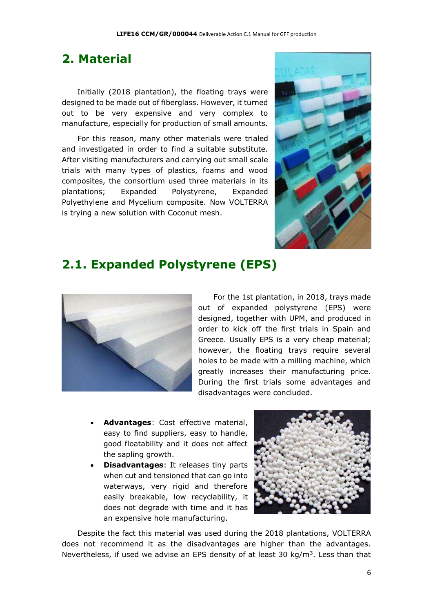#### <span id="page-5-0"></span>**2. Material**

Initially (2018 plantation), the floating trays were designed to be made out of fiberglass. However, it turned out to be very expensive and very complex to manufacture, especially for production of small amounts.

For this reason, many other materials were trialed and investigated in order to find a suitable substitute. After visiting manufacturers and carrying out small scale trials with many types of plastics, foams and wood composites, the consortium used three materials in its plantations; Expanded Polystyrene, Expanded Polyethylene and Mycelium composite. Now VOLTERRA is trying a new solution with Coconut mesh.



### <span id="page-5-1"></span>**2.1. Expanded Polystyrene (EPS)**



For the 1st plantation, in 2018, trays made out of expanded polystyrene (EPS) were designed, together with UPM, and produced in order to kick off the first trials in Spain and Greece. Usually EPS is a very cheap material; however, the floating trays require several holes to be made with a milling machine, which greatly increases their manufacturing price. During the first trials some advantages and disadvantages were concluded.

- **Advantages**: Cost effective material, easy to find suppliers, easy to handle, good floatability and it does not affect the sapling growth.
- **Disadvantages**: It releases tiny parts when cut and tensioned that can go into waterways, very rigid and therefore easily breakable, low recyclability, it does not degrade with time and it has an expensive hole manufacturing.



Despite the fact this material was used during the 2018 plantations, VOLTERRA does not recommend it as the disadvantages are higher than the advantages. Nevertheless, if used we advise an EPS density of at least 30  $kg/m<sup>3</sup>$ . Less than that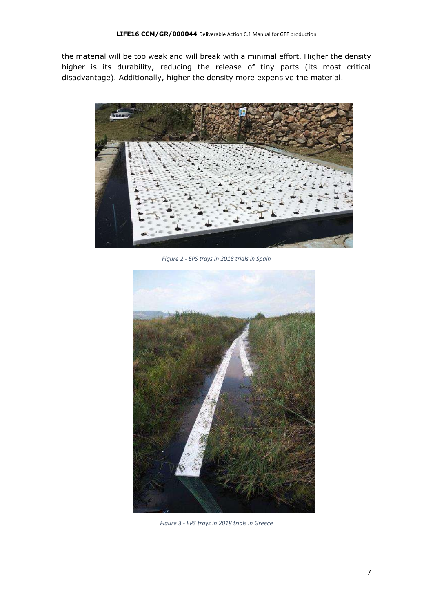the material will be too weak and will break with a minimal effort. Higher the density higher is its durability, reducing the release of tiny parts (its most critical disadvantage). Additionally, higher the density more expensive the material.



*Figure 2 - EPS trays in 2018 trials in Spain*



*Figure 3 - EPS trays in 2018 trials in Greece*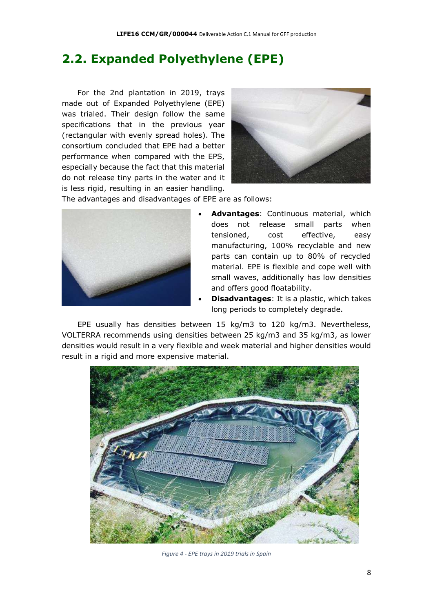### <span id="page-7-0"></span>**2.2. Expanded Polyethylene (EPE)**

For the 2nd plantation in 2019, trays made out of Expanded Polyethylene (EPE) was trialed. Their design follow the same specifications that in the previous year (rectangular with evenly spread holes). The consortium concluded that EPE had a better performance when compared with the EPS, especially because the fact that this material do not release tiny parts in the water and it is less rigid, resulting in an easier handling.



The advantages and disadvantages of EPE are as follows:



- **Advantages**: Continuous material, which does not release small parts when tensioned, cost effective, easy manufacturing, 100% recyclable and new parts can contain up to 80% of recycled material. EPE is flexible and cope well with small waves, additionally has low densities and offers good floatability.
- **Disadvantages**: It is a plastic, which takes long periods to completely degrade.

EPE usually has densities between 15 kg/m3 to 120 kg/m3. Nevertheless, VOLTERRA recommends using densities between 25 kg/m3 and 35 kg/m3, as lower densities would result in a very flexible and week material and higher densities would result in a rigid and more expensive material.



*Figure 4 - EPE trays in 2019 trials in Spain*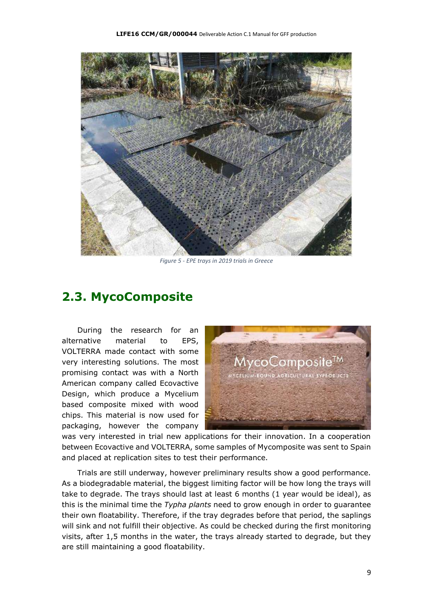

*Figure 5 - EPE trays in 2019 trials in Greece*

#### <span id="page-8-0"></span>**2.3. MycoComposite**

During the research for an alternative material to EPS, VOLTERRA made contact with some very interesting solutions. The most promising contact was with a North American company called Ecovactive Design, which produce a Mycelium based composite mixed with wood chips. This material is now used for packaging, however the company



was very interested in trial new applications for their innovation. In a cooperation between Ecovactive and VOLTERRA, some samples of Mycomposite was sent to Spain and placed at replication sites to test their performance.

Trials are still underway, however preliminary results show a good performance. As a biodegradable material, the biggest limiting factor will be how long the trays will take to degrade. The trays should last at least 6 months (1 year would be ideal), as this is the minimal time the *Typha plants* need to grow enough in order to guarantee their own floatability. Therefore, if the tray degrades before that period, the saplings will sink and not fulfill their objective. As could be checked during the first monitoring visits, after 1,5 months in the water, the trays already started to degrade, but they are still maintaining a good floatability.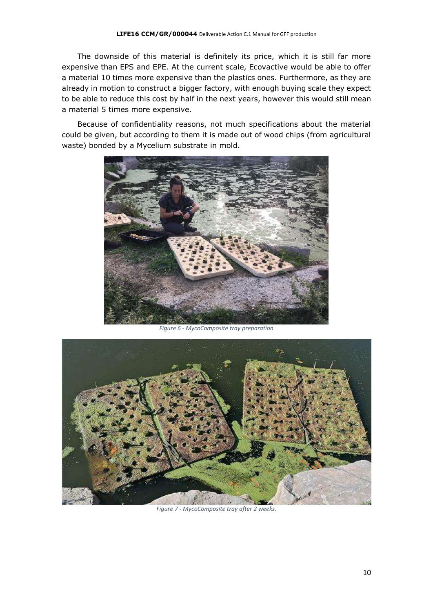The downside of this material is definitely its price, which it is still far more expensive than EPS and EPE. At the current scale, Ecovactive would be able to offer a material 10 times more expensive than the plastics ones. Furthermore, as they are already in motion to construct a bigger factory, with enough buying scale they expect to be able to reduce this cost by half in the next years, however this would still mean a material 5 times more expensive.

Because of confidentiality reasons, not much specifications about the material could be given, but according to them it is made out of wood chips (from agricultural waste) bonded by a Mycelium substrate in mold.



*Figure 6 - MycoComposite tray preparation*



*Figure 7 - MycoComposite tray after 2 weeks.*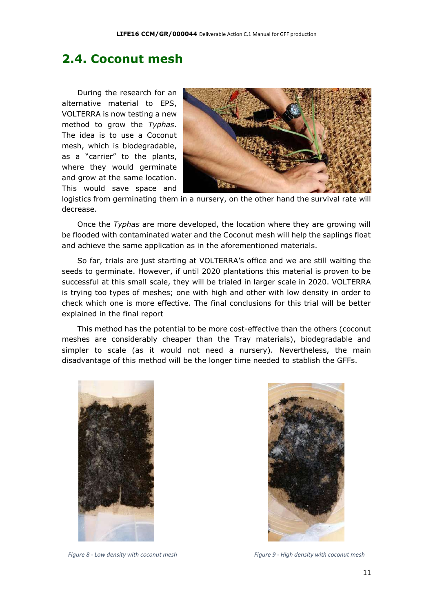#### <span id="page-10-0"></span>**2.4. Coconut mesh**

During the research for an alternative material to EPS, VOLTERRA is now testing a new method to grow the *Typhas*. The idea is to use a Coconut mesh, which is biodegradable, as a "carrier" to the plants, where they would germinate and grow at the same location. This would save space and



logistics from germinating them in a nursery, on the other hand the survival rate will decrease.

Once the *Typhas* are more developed, the location where they are growing will be flooded with contaminated water and the Coconut mesh will help the saplings float and achieve the same application as in the aforementioned materials.

So far, trials are just starting at VOLTERRA's office and we are still waiting the seeds to germinate. However, if until 2020 plantations this material is proven to be successful at this small scale, they will be trialed in larger scale in 2020. VOLTERRA is trying too types of meshes; one with high and other with low density in order to check which one is more effective. The final conclusions for this trial will be better explained in the final report

This method has the potential to be more cost-effective than the others (coconut meshes are considerably cheaper than the Tray materials), biodegradable and simpler to scale (as it would not need a nursery). Nevertheless, the main disadvantage of this method will be the longer time needed to stablish the GFFs.





*Figure 8 - Low density with coconut mesh Figure 9 - High density with coconut mesh*